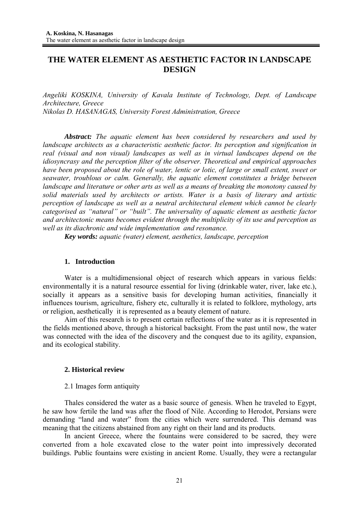# **THE WATER ELEMENT AS AESTHETIC FACTOR IN LANDSCAPE DESIGN**

*Angeliki KOSKINA, University of Kavala Institute of Technology, Dept. of Landscape Architecture, Greece Nikolas D. HASANAGAS, University Forest Administration, Greece* 

*Abstract: The aquatic element has been considered by researchers and used by landscape architects as a characteristic aesthetic factor. Its perception and signification in real (visual and non visual) landscapes as well as in virtual landscapes depend on the idiosyncrasy and the perception filter of the observer. Theoretical and empirical approaches have been proposed about the role of water, lentic or lotic, of large or small extent, sweet or seawater, troublous or calm. Generally, the aquatic element constitutes a bridge between landscape and literature or other arts as well as a means of breaking the monotony caused by solid materials used by architects or artists. Water is a basis of literary and artistic perception of landscape as well as a neutral architectural element which cannot be clearly categorised as "natural" or "built". The universality of aquatic element as aesthetic factor and architectonic means becomes evident through the multiplicity of its use and perception as well as its diachronic and wide implementation and resonance.* 

*Key words: aquatic (water) element, aesthetics, landscape, perception* 

## **1. Introduction**

Water is a multidimensional object of research which appears in various fields: environmentally it is a natural resource essential for living (drinkable water, river, lake etc.), socially it appears as a sensitive basis for developing human activities, financially it influences tourism, agriculture, fishery etc, culturally it is related to folklore, mythology, arts or religion, aesthetically it is represented as a beauty element of nature.

Aim of this research is to present certain reflections of the water as it is represented in the fields mentioned above, through a historical backsight. From the past until now, the water was connected with the idea of the discovery and the conquest due to its agility, expansion, and its ecological stability.

## **2. Historical review**

## 2.1 Images form antiquity

Thales considered the water as a basic source of genesis. When he traveled to Egypt, he saw how fertile the land was after the flood of Nile. According to Herodot, Persians were demanding "land and water" from the cities which were surrendered. This demand was meaning that the citizens abstained from any right on their land and its products.

In ancient Greece, where the fountains were considered to be sacred, they were converted from a hole excavated close to the water point into impressively decorated buildings. Public fountains were existing in ancient Rome. Usually, they were a rectangular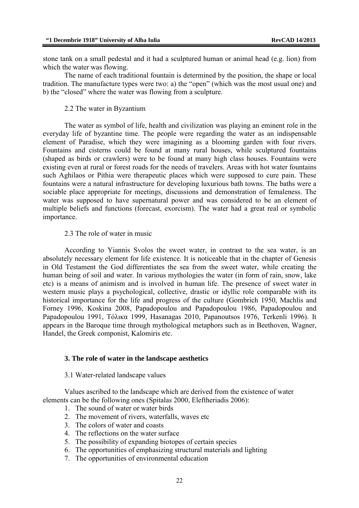stone tank on a small pedestal and it had a sculptured human or animal head (e.g. lion) from which the water was flowing.

The name of each traditional fountain is determined by the position, the shape or local tradition. The manufacture types were two: a) the "open" (which was the most usual one) and b) the "closed" where the water was flowing from a sculpture.

### 2.2 The water in Byzantium

The water as symbol of life, health and civilization was playing an eminent role in the everyday life of byzantine time. The people were regarding the water as an indispensable element of Paradise, which they were imagining as a blooming garden with four rivers. Fountains and cisterns could be found at many rural houses, while sculptured fountains (shaped as birds or crawlers) were to be found at many high class houses. Fountains were existing even at rural or forest roads for the needs of travelers. Areas with hot water fountains such Aghilaos or Pithia were therapeutic places which were supposed to cure pain. These fountains were a natural infrastructure for developing luxurious bath towns. The baths were a sociable place appropriate for meetings, discussions and demonstration of femaleness. The water was supposed to have supernatural power and was considered to be an element of multiple beliefs and functions (forecast, exorcism). The water had a great real or symbolic importance.

#### 2.3 The role of water in music

According to Yiannis Svolos the sweet water, in contrast to the sea water, is an absolutely necessary element for life existence. It is noticeable that in the chapter of Genesis in Old Testament the God differentiates the sea from the sweet water, while creating the human being of soil and water. In various mythologies the water (in form of rain, snow, lake etc) is a means of animism and is involved in human life. The presence of sweet water in western music plays a psychological, collective, drastic or idyllic role comparable with its historical importance for the life and progress of the culture (Gombrich 1950, Machlis and Forney 1996, Koskina 2008, Papadopoulou and Papadopoulou 1986, Papadopoulou and Papadopoulou 1991, Τόλικα 1999, Hasanagas 2010, Papanoutsos 1976, Terkenli 1996). It appears in the Baroque time through mythological metaphors such as in Beethoven, Wagner, Handel, the Greek componist, Kalomiris etc.

#### **3. The role of water in the landscape aesthetics**

#### 3.1 Water-related landscape values

Values ascribed to the landscape which are derived from the existence of water elements can be the following ones (Spitalas 2000, Eleftheriadis 2006):

- 1. The sound of water or water birds
- 2. The movement of rivers, waterfalls, waves etc
- 3. The colors of water and coasts
- 4. The reflections on the water surface
- 5. The possibility of expanding biotopes of certain species
- 6. The opportunities of emphasizing structural materials and lighting
- 7. The opportunities of environmental education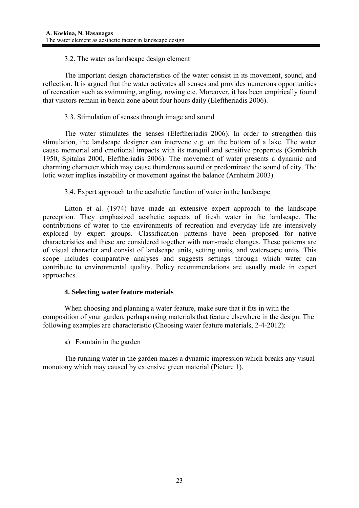## 3.2. The water as landscape design element

The important design characteristics of the water consist in its movement, sound, and reflection. It is argued that the water activates all senses and provides numerous opportunities of recreation such as swimming, angling, rowing etc. Moreover, it has been empirically found that visitors remain in beach zone about four hours daily (Eleftheriadis 2006).

## 3.3. Stimulation of senses through image and sound

 The water stimulates the senses (Eleftheriadis 2006). In order to strengthen this stimulation, the landscape designer can intervene e.g. on the bottom of a lake. The water cause memorial and emotional impacts with its tranquil and sensitive properties (Gombrich 1950, Spitalas 2000, Eleftheriadis 2006). The movement of water presents a dynamic and charming character which may cause thunderous sound or predominate the sound of city. The lotic water implies instability or movement against the balance (Arnheim 2003).

3.4. Expert approach to the aesthetic function of water in the landscape

 Litton et al. (1974) have made an extensive expert approach to the landscape perception. They emphasized aesthetic aspects of fresh water in the landscape. The contributions of water to the environments of recreation and everyday life are intensively explored by expert groups. Classification patterns have been proposed for native characteristics and these are considered together with man-made changes. These patterns are of visual character and consist of landscape units, setting units, and waterscape units. This scope includes comparative analyses and suggests settings through which water can contribute to environmental quality. Policy recommendations are usually made in expert approaches.

## **4. Selecting water feature materials**

 When choosing and planning a water feature, make sure that it fits in with the composition of your garden, perhaps using materials that feature elsewhere in the design. The following examples are characteristic (Choosing water feature materials, 2-4-2012):

a) Fountain in the garden

The running water in the garden makes a dynamic impression which breaks any visual monotony which may caused by extensive green material (Picture 1).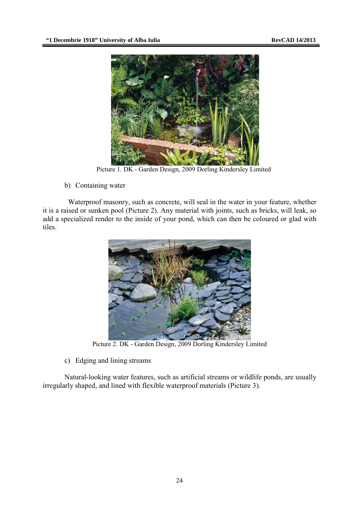

Picture 1. DK - Garden Design, 2009 Dorling Kindersley Limited

b) Containing water

Waterproof masonry, such as concrete, will seal in the water in your feature, whether it is a raised or sunken pool (Picture 2). Any material with joints, such as bricks, will leak, so add a specialized render to the inside of your pond, which can then be coloured or glad with tiles.



Picture 2. DK - Garden Design, 2009 Dorling Kindersley Limited

c) Edging and lining streams

 Natural-looking water features, such as artificial streams or wildlife ponds, are usually irregularly shaped, and lined with flexible waterproof materials (Picture 3).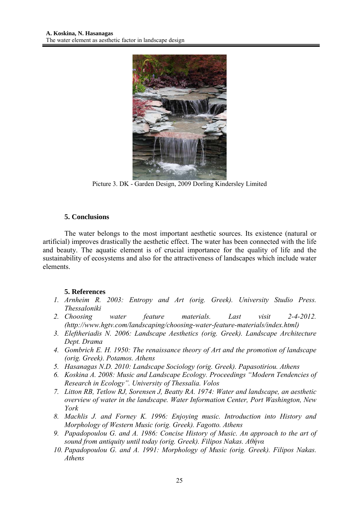

Picture 3. DK - Garden Design, 2009 Dorling Kindersley Limited

## **5. Conclusions**

The water belongs to the most important aesthetic sources. Its existence (natural or artificial) improves drastically the aesthetic effect. The water has been connected with the life and beauty. The aquatic element is of crucial importance for the quality of life and the sustainability of ecosystems and also for the attractiveness of landscapes which include water elements.

## **5. References**

- *1. Arnheim R. 2003: Entropy and Art (orig. Greek). University Studio Press. Thessaloniki*
- *2. Choosing water feature materials. Last visit 2-4-2012. (http://www.hgtv.com/landscaping/choosing-water-feature-materials/index.html)*
- *3. Eleftheriadis Ν. 2006: Landscape Aesthetics (orig. Greek). Landscape Architecture Dept. Drama*
- *4. Gombrich E. H. 1950: The renaissance theory of Art and the promotion of landscape (orig. Greek). Potamos. Athens*
- *5. Hasanagas Ν.D. 2010: Landscape Sociology (orig. Greek). Papasotiriou. Athens*
- *6. Koskina Α. 2008: Music and Landscape Ecology. Proceedings "Modern Tendencies of Research in Ecology". University of Thessalia. Volos*
- *7. Litton RB, Tetlow RJ, Sorensen J, Beatty RA. 1974: Water and landscape, an aesthetic overview of water in the landscape. Water Information Center, Port Washington, New York*
- *8. Machlis J. and Forney K. 1996: Enjoying music. Introduction into History and Morphology of Western Music (orig. Greek). Fagotto. Athens*
- *9. Papadopoulou G. and Α. 1986: Concise History of Music. An approach to the art of sound from antiquity until today (orig. Greek). Filipos Nakas. Αθήνα*
- *10. Papadopoulou G. and Α. 1991: Morphology of Music (orig. Greek). Filipos Nakas. Athens*